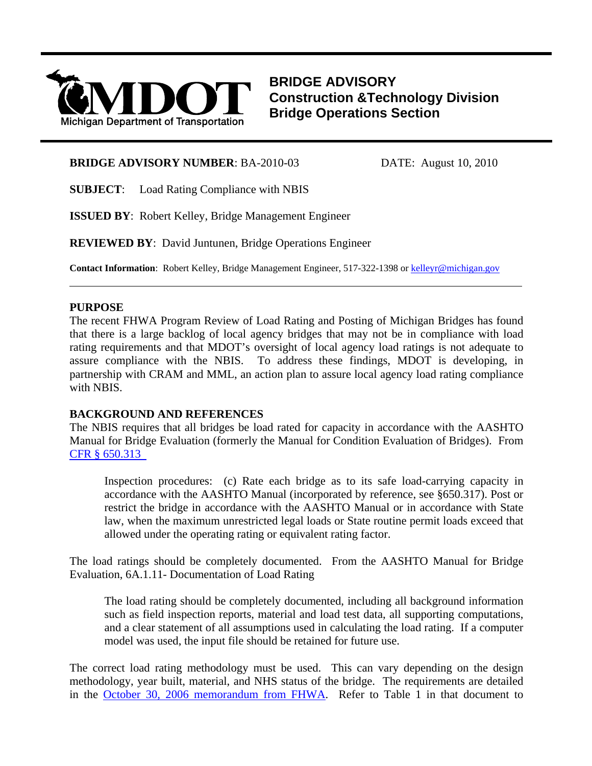

**BRIDGE ADVISORY Construction &Technology Division Bridge Operations Section**

### **BRIDGE ADVISORY NUMBER**: BA-2010-03 DATE: August 10, 2010

**SUBJECT**: Load Rating Compliance with NBIS

**ISSUED BY**: Robert Kelley, Bridge Management Engineer

**REVIEWED BY**: David Juntunen, Bridge Operations Engineer

**Contact Information**: Robert Kelley, Bridge Management Engineer, 517-322-1398 or kelleyr@michigan.gov

## **PURPOSE**

The recent FHWA Program Review of Load Rating and Posting of Michigan Bridges has found that there is a large backlog of local agency bridges that may not be in compliance with load rating requirements and that MDOT's oversight of local agency load ratings is not adequate to assure compliance with the NBIS. To address these findings, MDOT is developing, in partnership with CRAM and MML, an action plan to assure local agency load rating compliance with NBIS.

l

# **BACKGROUND AND REFERENCES**

The NBIS requires that all bridges be load rated for capacity in accordance with the AASHTO Manual for Bridge Evaluation (formerly the Manual for Condition Evaluation of Bridges). From [CFR § 650.313](http://ecfr.gpoaccess.gov/cgi/t/text/text-idx?c=ecfr;sid=fbd1242e1d192b6eafd0b1158a27b163;rgn=div5;view=text;node=23:1.0.1.7.28;idno=23;cc=ecfr#23:1.0.1.7.28.3.1.7) 

Inspection procedures: (c) Rate each bridge as to its safe load-carrying capacity in accordance with the AASHTO Manual (incorporated by reference, see §650.317). Post or restrict the bridge in accordance with the AASHTO Manual or in accordance with State law, when the maximum unrestricted legal loads or State routine permit loads exceed that allowed under the operating rating or equivalent rating factor.

The load ratings should be completely documented. From the AASHTO Manual for Bridge Evaluation, 6A.1.11- Documentation of Load Rating

The load rating should be completely documented, including all background information such as field inspection reports, material and load test data, all supporting computations, and a clear statement of all assumptions used in calculating the load rating. If a computer model was used, the input file should be retained for future use.

The correct load rating methodology must be used. This can vary depending on the design methodology, year built, material, and NHS status of the bridge. The requirements are detailed in the [October 30, 2006 memorandum from FHWA.](http://www.fhwa.dot.gov/bridge/nbis/103006.cfm) Refer to Table 1 in that document to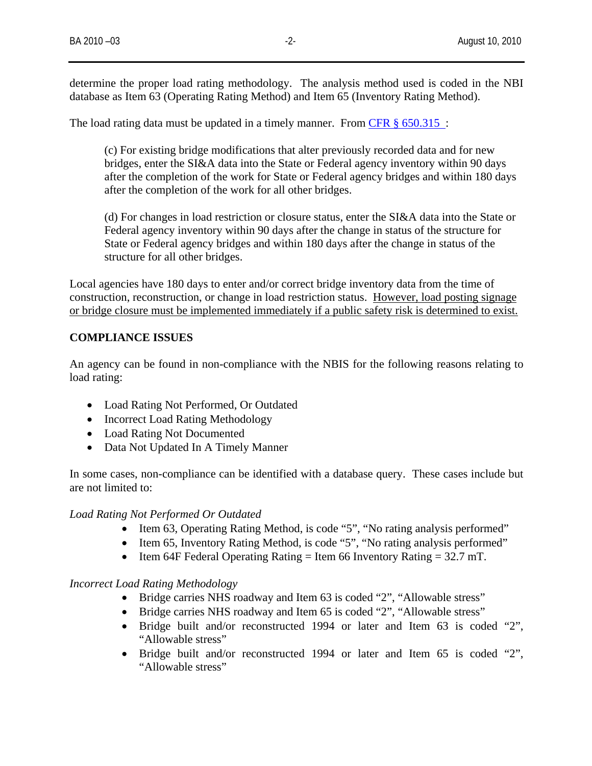determine the proper load rating methodology. The analysis method used is coded in the NBI database as Item 63 (Operating Rating Method) and Item 65 (Inventory Rating Method).

The load rating data must be updated in a timely manner. From [CFR § 650.315 :](http://ecfr.gpoaccess.gov/cgi/t/text/text-idx?c=ecfr;sid=fbd1242e1d192b6eafd0b1158a27b163;rgn=div5;view=text;node=23:1.0.1.7.28;idno=23;cc=ecfr#23:1.0.1.7.28.3.1.7)

(c) For existing bridge modifications that alter previously recorded data and for new bridges, enter the SI&A data into the State or Federal agency inventory within 90 days after the completion of the work for State or Federal agency bridges and within 180 days after the completion of the work for all other bridges.

(d) For changes in load restriction or closure status, enter the SI&A data into the State or Federal agency inventory within 90 days after the change in status of the structure for State or Federal agency bridges and within 180 days after the change in status of the structure for all other bridges.

Local agencies have 180 days to enter and/or correct bridge inventory data from the time of construction, reconstruction, or change in load restriction status. However, load posting signage or bridge closure must be implemented immediately if a public safety risk is determined to exist.

# **COMPLIANCE ISSUES**

An agency can be found in non-compliance with the NBIS for the following reasons relating to load rating:

- Load Rating Not Performed, Or Outdated
- Incorrect Load Rating Methodology
- Load Rating Not Documented
- Data Not Updated In A Timely Manner

In some cases, non-compliance can be identified with a database query. These cases include but are not limited to:

### *Load Rating Not Performed Or Outdated*

- Item 63, Operating Rating Method, is code "5", "No rating analysis performed"
- Item 65, Inventory Rating Method, is code "5", "No rating analysis performed"
- Item 64F Federal Operating Rating  $=$  Item 66 Inventory Rating  $=$  32.7 mT.

### *Incorrect Load Rating Methodology*

- Bridge carries NHS roadway and Item 63 is coded "2", "Allowable stress"
- Bridge carries NHS roadway and Item 65 is coded "2", "Allowable stress"
- Bridge built and/or reconstructed 1994 or later and Item 63 is coded "2", "Allowable stress"
- Bridge built and/or reconstructed 1994 or later and Item 65 is coded "2", "Allowable stress"